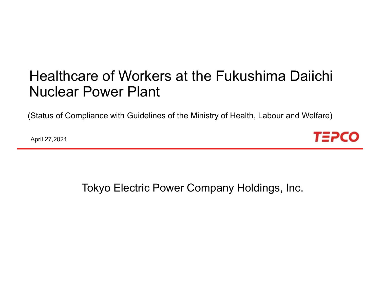# Healthcare of Workers at the Fukushima Daiichi Nuclear Power Plant

(Status of Compliance with Guidelines of the Ministry of Health, Labour and Welfare)

April 27,2021



Tokyo Electric Power Company Holdings, Inc.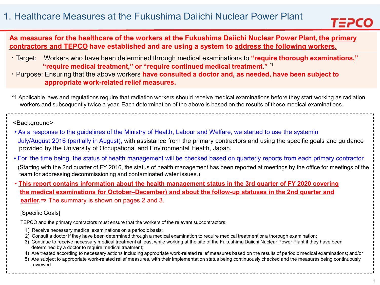

## **As measures for the healthcare of the workers at the Fukushima Daiichi Nuclear Power Plant, the primary contractors and TEPCO have established and are using a system to address the following workers.**

- ・Target: Workers who have been determined through medical examinations to **"require thorough examinations," "require medical treatment," or "require continued medical treatment."** \*1
- ・Purpose: Ensuring that the above workers **have consulted a doctor and, as needed, have been subject to appropriate work-related relief measures.**
- \*1 Applicable laws and regulations require that radiation workers should receive medical examinations before they start working as radiation workers and subsequently twice a year. Each determination of the above is based on the results of these medical examinations.

#### <Background>

- As a response to the guidelines of the Ministry of Health, Labour and Welfare, we started to use the systemin July/August 2016 (partially in August), with assistance from the primary contractors and using the specific goals and guidance provided by the University of Occupational and Environmental Health, Japan.
- For the time being, the status of health management will be checked based on quarterly reports from each primary contractor.
- (Starting with the 2nd quarter of FY 2016, the status of health management has been reported at meetings by the office for meetings of the team for addressing decommissioning and contaminated water issues.)
- This report contains information about the health management status in the 3rd quarter of FY 2020 covering **the medical examinations for October–December) and about the follow-up statuses in the 2nd quarter and earlier.**⇒ The summary is shown on pages 2 and 3.

#### [Specific Goals]

TEPCO and the primary contractors must ensure that the workers of the relevant subcontractors:

- 1) Receive necessary medical examinations on a periodic basis;
- 2) Consult a doctor if they have been determined through a medical examination to require medical treatment or a thorough examination;
- 3) Continue to receive necessary medical treatment at least while working at the site of the Fukushima Daiichi Nuclear Power Plant if they have been determined by a doctor to require medical treatment;
- 4) Are treated according to necessary actions including appropriate work-related relief measures based on the results of periodic medical examinations; and/or
- 5) Are subject to appropriate work-related relief measures, with their implementation status being continuously checked and the measures being continuously reviewed.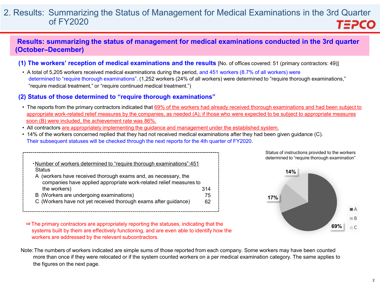#### 2. Results: Summarizing the Status of Management for Medical Examinations in the 3rd Quarter of FY2020 **TEPCO**

### **Results: summarizing the status of management for medical examinations conducted in the 3rd quarter (October–December)**

- **(1) The workers' reception of medical examinations and the results** [No. of offices covered: 51 (primary contractors: 49)]
- A total of 5,205 workers received medical examinations during the period, and 451 workers (8.7% of all workers) were determined to "require thorough examinations". (1,252 workers (24% of all workers) were determined to "require thorough examinations," "require medical treatment," or "require continued medical treatment.")

#### **(2) Status of those determined to "require thorough examinations"**

- The reports from the primary contractors indicated that 69% of the workers had already received thorough examinations and had been subject to appropriate work-related relief measures by the companies, as needed (A); if those who were expected to be subject to appropriate measures soon (B) were included, the achievement rate was 86%.
- All contractors are appropriately implementing the guidance and management under the established system.
- 14% of the workers concerned replied that they had not received medical examinations after they had been given guidance (C). Their subsequent statuses will be checked through the next reports for the 4th quarter of FY2020.

| -Number of workers determined to "require thorough examinations":451 |     |
|----------------------------------------------------------------------|-----|
| <b>Status</b>                                                        |     |
| A (workers have received thorough exams and, as necessary, the       |     |
| companies have applied appropriate work-related relief measures to   |     |
| the workers)                                                         | 314 |
| B (Workers are undergoing examinations)                              | 75  |
| C (Workers have not yet received thorough exams after guidance)      | 62  |





- ⇒The primary contractors are appropriately reporting the statuses, indicating that the systems built by them are effectively functioning, and are even able to identify how the workers are addressed by the relevant subcontractors.
- Note:The numbers of workers indicated are simple sums of those reported from each company. Some workers may have been counted more than once if they were relocated or if the system counted workers on a per medical examination category. The same applies to the figures on the next page.